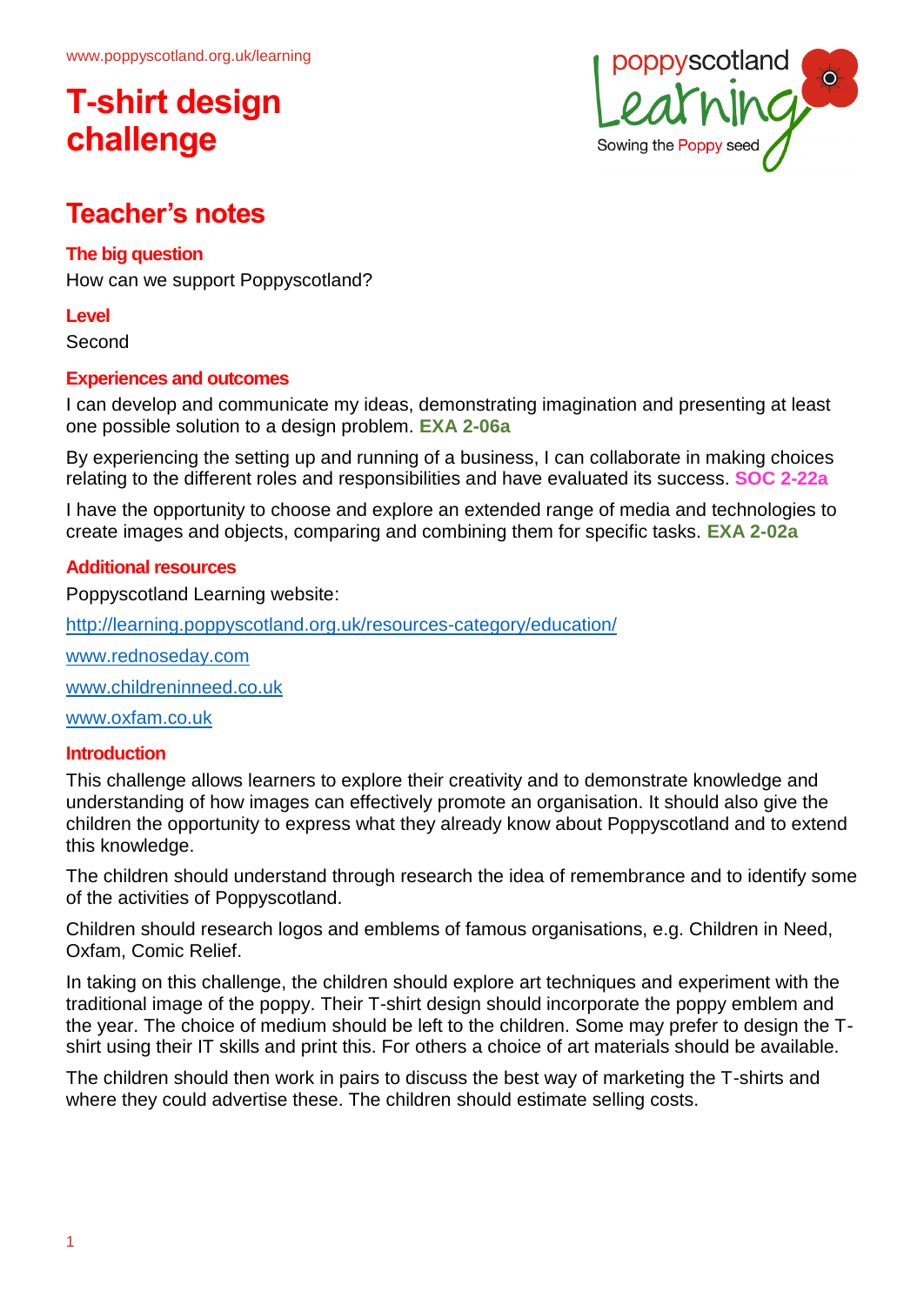

### **Teacher's notes**

### **The big question**

How can we support Poppyscotland?

#### **Level**

Second

### **Experiences and outcomes**

I can develop and communicate my ideas, demonstrating imagination and presenting at least one possible solution to a design problem. **EXA 2-06a**

By experiencing the setting up and running of a business, I can collaborate in making choices relating to the different roles and responsibilities and have evaluated its success. **SOC 2-22a**

I have the opportunity to choose and explore an extended range of media and technologies to create images and objects, comparing and combining them for specific tasks. **EXA 2-02a**

### **Additional resources**

Poppyscotland Learning website:

<http://learning.poppyscotland.org.uk/resources-category/education/>

[www.rednoseday.com](http://www.rednoseday.com/)

[www.childreninneed.co.uk](http://www.childreninneed.co.uk/)

[www.oxfam.co.uk](http://www.oxfam.co.uk/)

#### **Introduction**

This challenge allows learners to explore their creativity and to demonstrate knowledge and understanding of how images can effectively promote an organisation. It should also give the children the opportunity to express what they already know about Poppyscotland and to extend this knowledge.

The children should understand through research the idea of remembrance and to identify some of the activities of Poppyscotland.

Children should research logos and emblems of famous organisations, e.g. Children in Need, Oxfam, Comic Relief.

In taking on this challenge, the children should explore art techniques and experiment with the traditional image of the poppy. Their T-shirt design should incorporate the poppy emblem and the year. The choice of medium should be left to the children. Some may prefer to design the Tshirt using their IT skills and print this. For others a choice of art materials should be available.

The children should then work in pairs to discuss the best way of marketing the T-shirts and where they could advertise these. The children should estimate selling costs.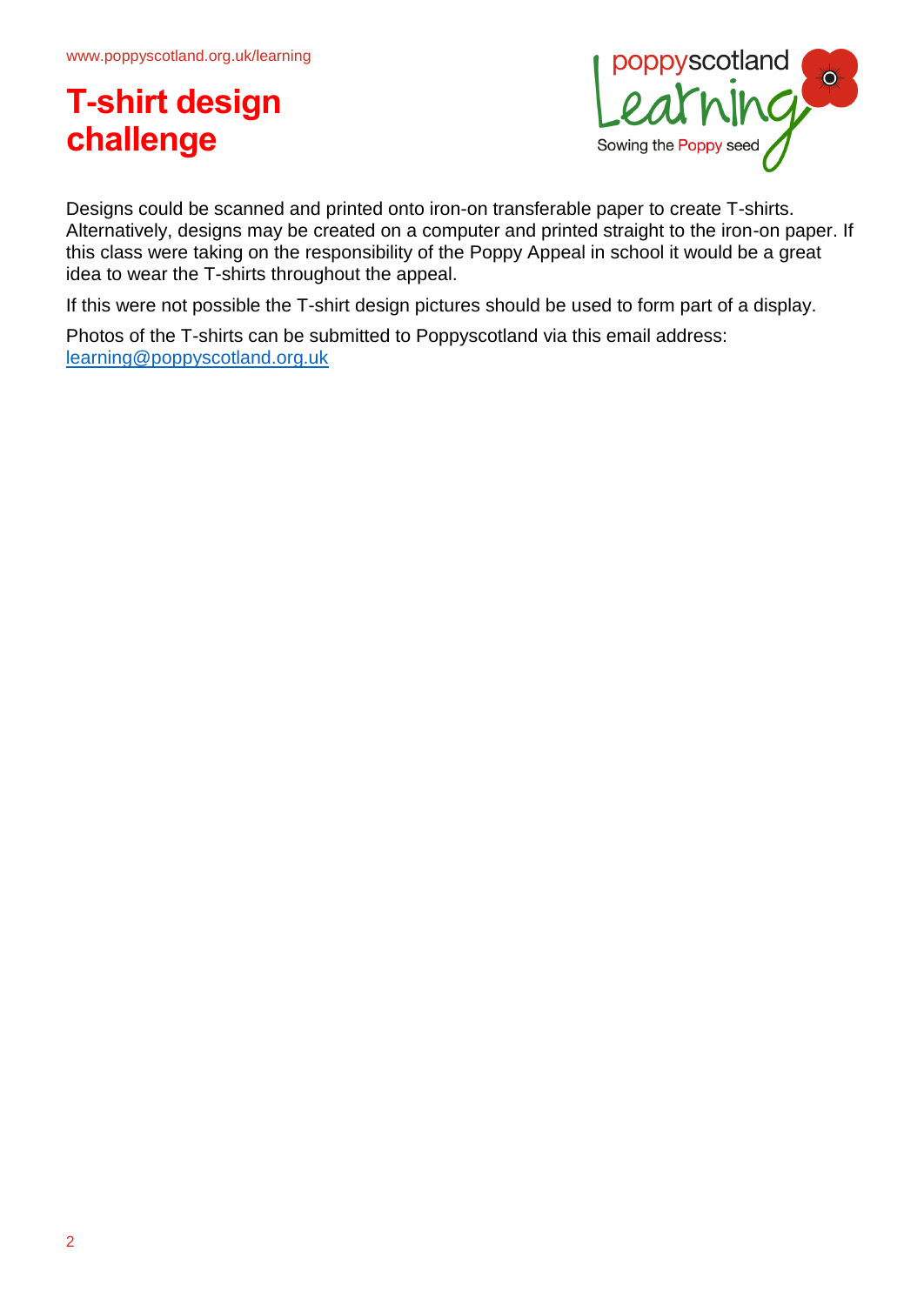

Designs could be scanned and printed onto iron-on transferable paper to create T-shirts. Alternatively, designs may be created on a computer and printed straight to the iron-on paper. If this class were taking on the responsibility of the Poppy Appeal in school it would be a great idea to wear the T-shirts throughout the appeal.

If this were not possible the T-shirt design pictures should be used to form part of a display.

Photos of the T-shirts can be submitted to Poppyscotland via this email address: [learning@poppyscotland.org.uk](mailto:learning@poppyscotland.org.uk)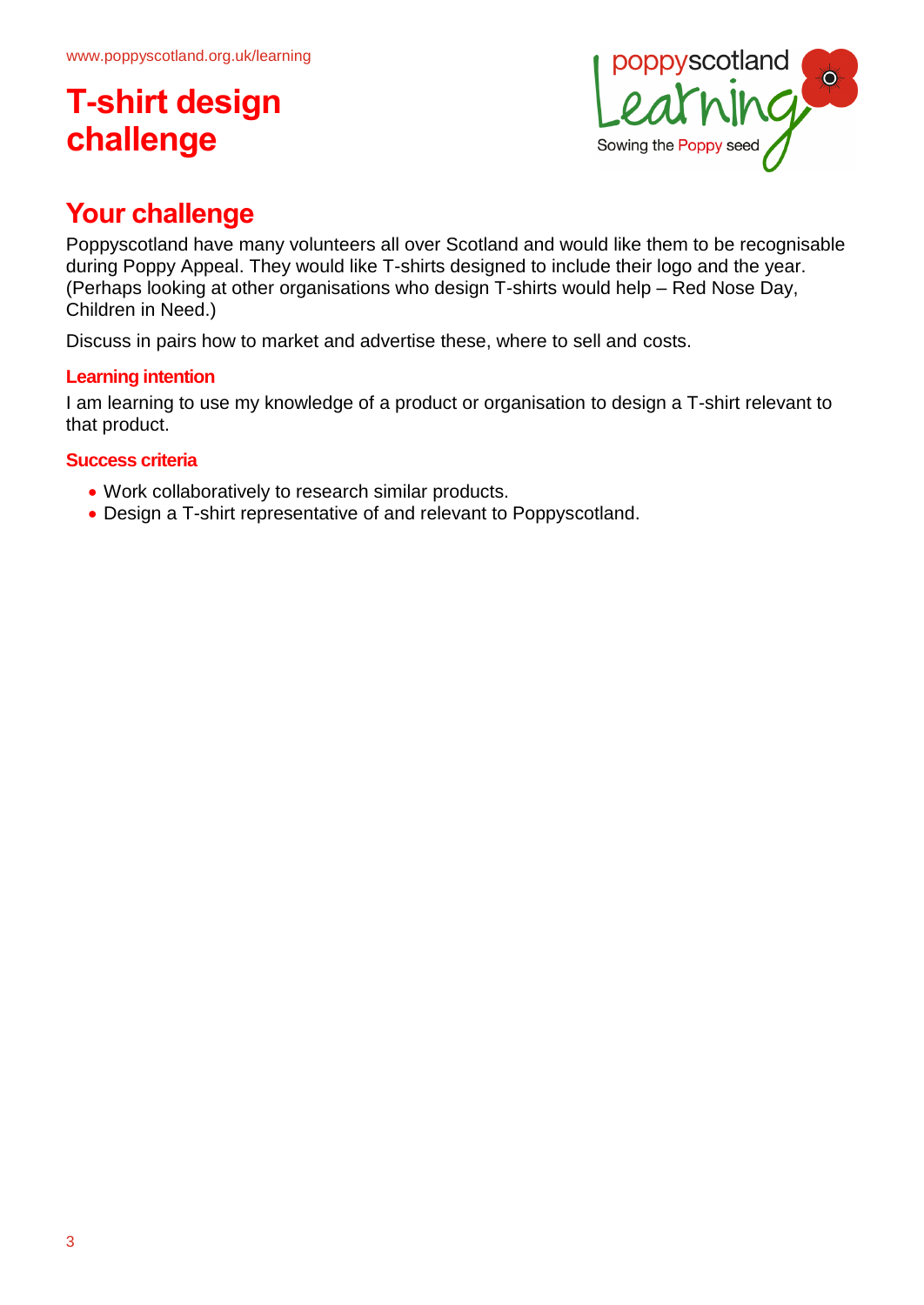

### **Your challenge**

Poppyscotland have many volunteers all over Scotland and would like them to be recognisable during Poppy Appeal. They would like T-shirts designed to include their logo and the year. (Perhaps looking at other organisations who design T-shirts would help – Red Nose Day, Children in Need.)

Discuss in pairs how to market and advertise these, where to sell and costs.

### **Learning intention**

I am learning to use my knowledge of a product or organisation to design a T-shirt relevant to that product.

#### **Success criteria**

- Work collaboratively to research similar products.
- Design a T-shirt representative of and relevant to Poppyscotland.